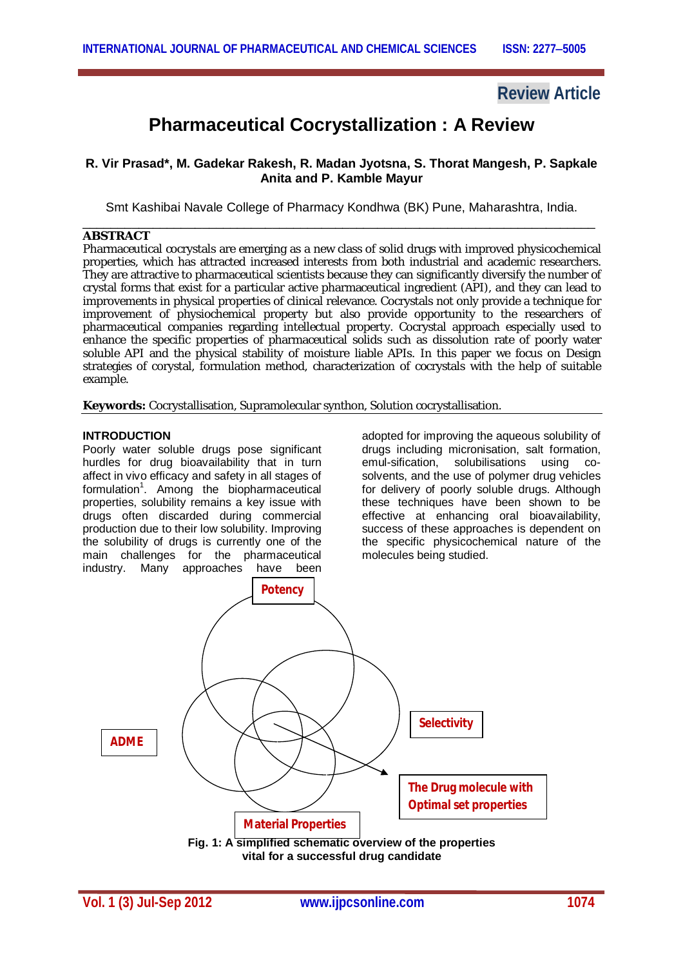## **Review Article**

# **Pharmaceutical Cocrystallization : A Review**

## **R. Vir Prasad\*, M. Gadekar Rakesh, R. Madan Jyotsna, S. Thorat Mangesh, P. Sapkale Anita and P. Kamble Mayur**

Smt Kashibai Navale College of Pharmacy Kondhwa (BK) Pune, Maharashtra, India. \_\_\_\_\_\_\_\_\_\_\_\_\_\_\_\_\_\_\_\_\_\_\_\_\_\_\_\_\_\_\_\_\_\_\_\_\_\_\_\_\_\_\_\_\_\_\_\_\_\_\_\_\_\_\_\_\_\_\_\_\_\_\_\_\_\_\_\_\_\_\_\_\_

#### **ABSTRACT**

Pharmaceutical cocrystals are emerging as a new class of solid drugs with improved physicochemical properties, which has attracted increased interests from both industrial and academic researchers. They are attractive to pharmaceutical scientists because they can significantly diversify the number of crystal forms that exist for a particular active pharmaceutical ingredient (API), and they can lead to improvements in physical properties of clinical relevance. Cocrystals not only provide a technique for improvement of physiochemical property but also provide opportunity to the researchers of pharmaceutical companies regarding intellectual property. Cocrystal approach especially used to enhance the specific properties of pharmaceutical solids such as dissolution rate of poorly water soluble API and the physical stability of moisture liable APIs. In this paper we focus on Design strategies of corystal, formulation method, characterization of cocrystals with the help of suitable example.

**Keywords:** Cocrystallisation, Supramolecular synthon, Solution cocrystallisation.

#### **INTRODUCTION**

Poorly water soluble drugs pose significant hurdles for drug bioavailability that in turn affect in vivo efficacy and safety in all stages of formulation<sup>1</sup>. Among the biopharmaceutical properties, solubility remains a key issue with drugs often discarded during commercial production due to their low solubility. Improving the solubility of drugs is currently one of the main challenges for the pharmaceutical industry. Many approaches have been

adopted for improving the aqueous solubility of drugs including micronisation, salt formation, emul-sification, solubilisations using cosolvents, and the use of polymer drug vehicles for delivery of poorly soluble drugs. Although these techniques have been shown to be effective at enhancing oral bioavailability, success of these approaches is dependent on the specific physicochemical nature of the molecules being studied.

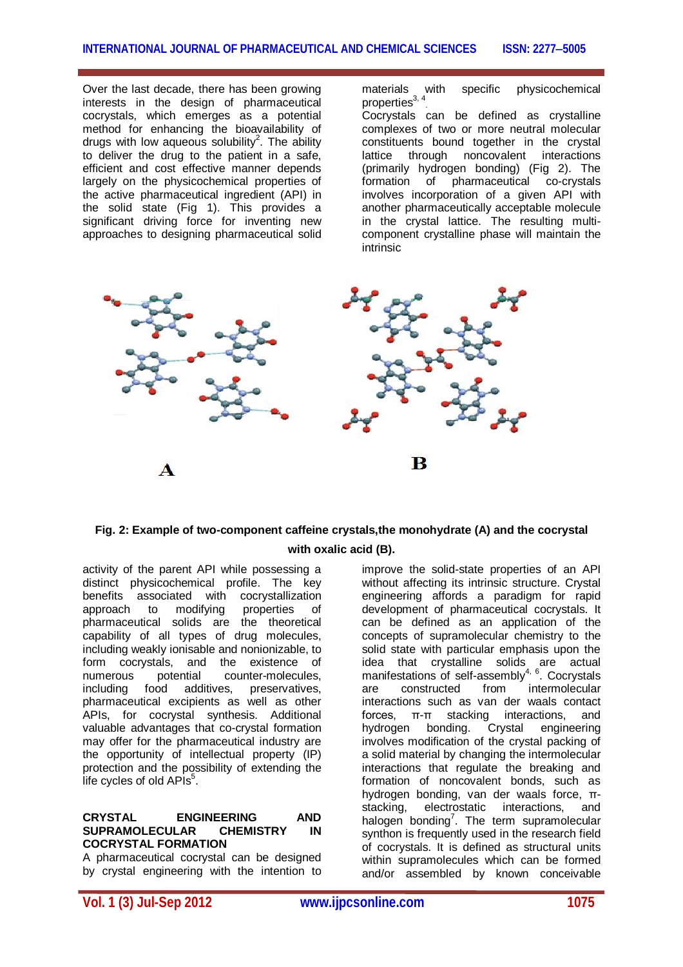Over the last decade, there has been growing interests in the design of pharmaceutical cocrystals, which emerges as a potential method for enhancing the bioavailability of drugs with low aqueous solubility<sup>2</sup>. The ability to deliver the drug to the patient in a safe, efficient and cost effective manner depends largely on the physicochemical properties of the active pharmaceutical ingredient (API) in the solid state (Fig 1). This provides a significant driving force for inventing new approaches to designing pharmaceutical solid materials with specific physicochemical properties $^{\rm 3,~4}$ 

Cocrystals can be defined as crystalline complexes of two or more neutral molecular constituents bound together in the crystal lattice through noncovalent interactions (primarily hydrogen bonding) (Fig 2). The of pharmaceutical co-crystals involves incorporation of a given API with another pharmaceutically acceptable molecule in the crystal lattice. The resulting multicomponent crystalline phase will maintain the intrinsic



## **Fig. 2: Example of two-component caffeine crystals,the monohydrate (A) and the cocrystal with oxalic acid (B).**

activity of the parent API while possessing a distinct physicochemical profile. The key benefits associated with cocrystallization approach to modifying properties of pharmaceutical solids are the theoretical capability of all types of drug molecules, including weakly ionisable and nonionizable, to form cocrystals, and the existence of<br>numerous potential counter-molecules. numerous potential counter-molecules,<br>including food additives, preservatives, food additives, pharmaceutical excipients as well as other APIs, for cocrystal synthesis. Additional valuable advantages that co-crystal formation may offer for the pharmaceutical industry are the opportunity of intellectual property (IP) protection and the possibility of extending the  $\overline{\phantom{a}}$  life cycles of old APIs $^5$ .

#### **CRYSTAL ENGINEERING AND SUPRAMOLECULAR CHEMISTRY IN COCRYSTAL FORMATION**

A pharmaceutical cocrystal can be designed by crystal engineering with the intention to

improve the solid-state properties of an API without affecting its intrinsic structure. Crystal engineering affords a paradigm for rapid development of pharmaceutical cocrystals. It can be defined as an application of the concepts of supramolecular chemistry to the solid state with particular emphasis upon the idea that crystalline solids are actual manifestations of self-assembly<sup>4, 6</sup>. Cocrystals are constructed from intermolecular interactions such as van der waals contact forces, π-π stacking interactions, and hydrogen bonding. Crystal engineering involves modification of the crystal packing of a solid material by changing the intermolecular interactions that regulate the breaking and formation of noncovalent bonds, such as hydrogen bonding, van der waals force, πstacking, electrostatic interactions, and halogen bonding<sup>7</sup>. The term supramolecular synthon is frequently used in the research field of cocrystals. It is defined as structural units within supramolecules which can be formed and/or assembled by known conceivable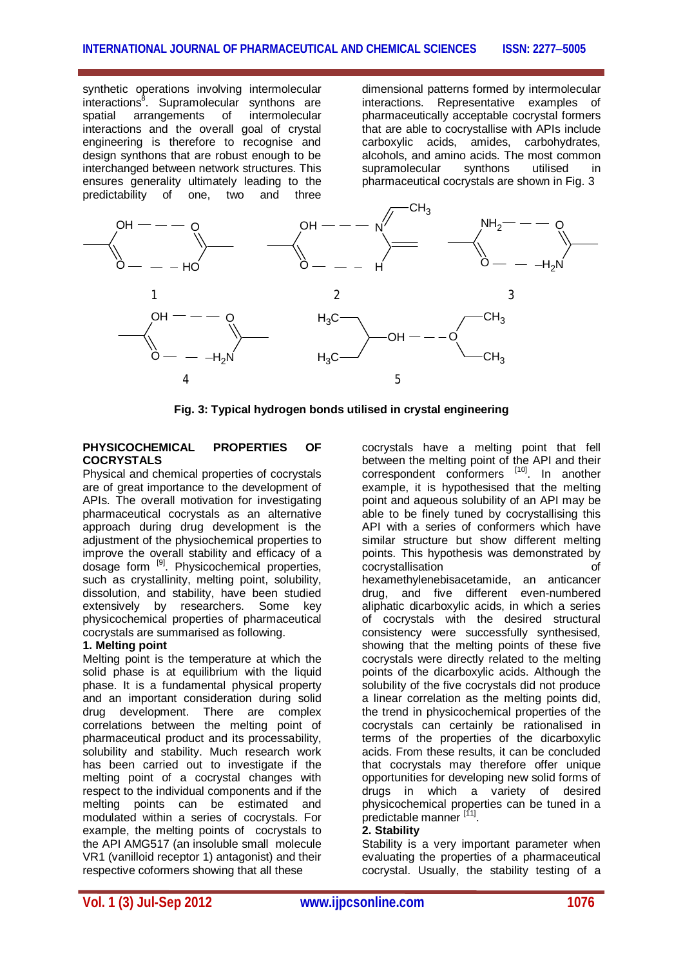synthetic operations involving intermolecular interactions<sup>8</sup>. Supramolecular synthons are spatial arrangements of intermolecular interactions and the overall goal of crystal engineering is therefore to recognise and design synthons that are robust enough to be interchanged between network structures. This ensures generality ultimately leading to the predictability of one, two and three predictability of one, two

dimensional patterns formed by intermolecular interactions. Representative examples of pharmaceutically acceptable cocrystal formers that are able to cocrystallise with APIs include carboxylic acids, amides, carbohydrates, alcohols, and amino acids. The most common supramolecular pharmaceutical cocrystals are shown in Fig. 3



**Fig. 3: Typical hydrogen bonds utilised in crystal engineering**

#### **PHYSICOCHEMICAL PROPERTIES OF COCRYSTALS**

Physical and chemical properties of cocrystals are of great importance to the development of APIs. The overall motivation for investigating pharmaceutical cocrystals as an alternative approach during drug development is the adjustment of the physiochemical properties to improve the overall stability and efficacy of a dosage form <sup>[9]</sup>. Physicochemical properties, such as crystallinity, melting point, solubility, dissolution, and stability, have been studied extensively by researchers. Some key physicochemical properties of pharmaceutical cocrystals are summarised as following.

#### **1. Melting point**

Melting point is the temperature at which the solid phase is at equilibrium with the liquid phase. It is a fundamental physical property and an important consideration during solid drug development. There are complex correlations between the melting point of pharmaceutical product and its processability, solubility and stability. Much research work has been carried out to investigate if the melting point of a cocrystal changes with respect to the individual components and if the melting points can be estimated and modulated within a series of cocrystals. For example, the melting points of cocrystals to the API AMG517 (an insoluble small molecule VR1 (vanilloid receptor 1) antagonist) and their respective coformers showing that all these

cocrystals have a melting point that fell between the melting point of the API and their correspondent conformers [10]. In another example, it is hypothesised that the melting point and aqueous solubility of an API may be able to be finely tuned by cocrystallising this API with a series of conformers which have similar structure but show different melting points. This hypothesis was demonstrated by cocrystallisation of hexamethylenebisacetamide, an anticancer drug, and five different even-numbered aliphatic dicarboxylic acids, in which a series of cocrystals with the desired structural consistency were successfully synthesised, showing that the melting points of these five cocrystals were directly related to the melting points of the dicarboxylic acids. Although the solubility of the five cocrystals did not produce a linear correlation as the melting points did, the trend in physicochemical properties of the cocrystals can certainly be rationalised in terms of the properties of the dicarboxylic acids. From these results, it can be concluded that cocrystals may therefore offer unique opportunities for developing new solid forms of drugs in which a variety of desired physicochemical properties can be tuned in a predictable manner [11].

#### **2. Stability**

Stability is a very important parameter when evaluating the properties of a pharmaceutical cocrystal. Usually, the stability testing of a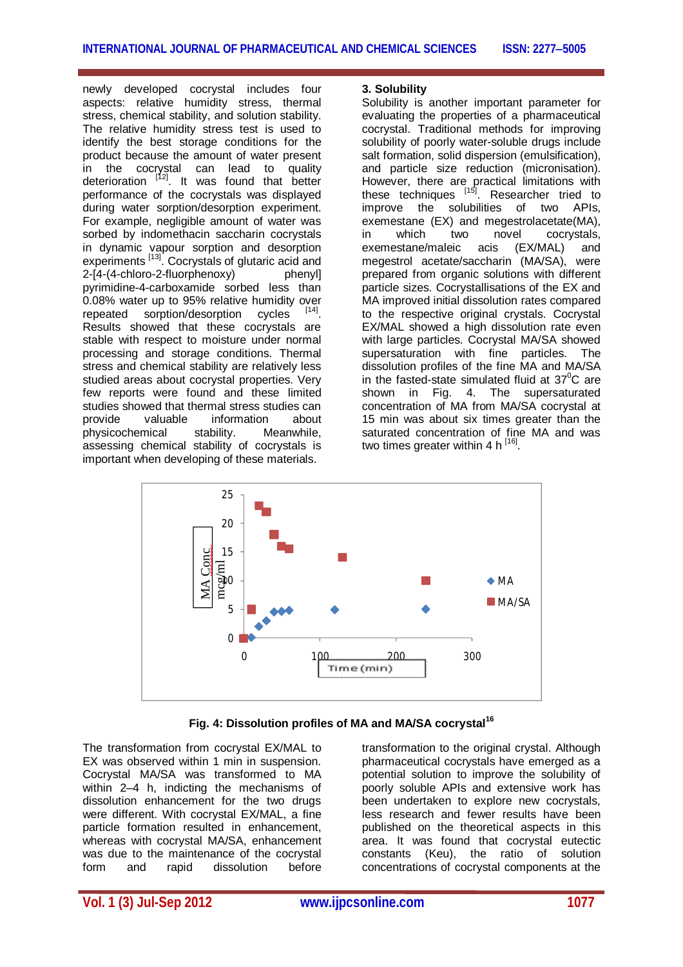newly developed cocrystal includes four aspects: relative humidity stress, thermal stress, chemical stability, and solution stability. The relative humidity stress test is used to identify the best storage conditions for the product because the amount of water present in the cocrystal can lead to quality deterioration [12]. It was found that better performance of the cocrystals was displayed during water sorption/desorption experiment. For example, negligible amount of water was sorbed by indomethacin saccharin cocrystals in dynamic vapour sorption and desorption experiments [13]. Cocrystals of glutaric acid and 2-[4-(4-chloro-2-fluorphenoxy) phenyl] pyrimidine-4-carboxamide sorbed less than 0.08% water up to 95% relative humidity over repeated sorption/desorption cycles . Results showed that these cocrystals are stable with respect to moisture under normal processing and storage conditions. Thermal stress and chemical stability are relatively less studied areas about cocrystal properties. Very few reports were found and these limited studies showed that thermal stress studies can provide valuable information about physicochemical stability. Meanwhile, assessing chemical stability of cocrystals is important when developing of these materials.

#### **3. Solubility**

Solubility is another important parameter for evaluating the properties of a pharmaceutical cocrystal. Traditional methods for improving solubility of poorly water-soluble drugs include salt formation, solid dispersion (emulsification), and particle size reduction (micronisation). However, there are practical limitations with these techniques <sup>[15]</sup>. Researcher tried to improve the solubilities of two APIs, exemestane (EX) and megestrolacetate(MA),<br>in which two novel cocrvstals. in which two novel cocrystals, exemestane/maleic acis (EX/MAL) and megestrol acetate/saccharin (MA/SA), were prepared from organic solutions with different particle sizes. Cocrystallisations of the EX and MA improved initial dissolution rates compared to the respective original crystals. Cocrystal EX/MAL showed a high dissolution rate even with large particles. Cocrystal MA/SA showed supersaturation with fine particles. The dissolution profiles of the fine MA and MA/SA in the fasted-state simulated fluid at  $37^{\circ}$ C are shown in Fig. 4. The supersaturated concentration of MA from MA/SA cocrystal at 15 min was about six times greater than the saturated concentration of fine MA and was two times greater within 4 h <sup>[16]</sup>.



**Fig. 4: Dissolution profiles of MA and MA/SA cocrystal<sup>16</sup>**

The transformation from cocrystal EX/MAL to EX was observed within 1 min in suspension. Cocrystal MA/SA was transformed to MA within 2–4 h, indicting the mechanisms of dissolution enhancement for the two drugs were different. With cocrystal EX/MAL, a fine particle formation resulted in enhancement, whereas with cocrystal MA/SA, enhancement was due to the maintenance of the cocrystal form and rapid dissolution before

transformation to the original crystal. Although pharmaceutical cocrystals have emerged as a potential solution to improve the solubility of poorly soluble APIs and extensive work has been undertaken to explore new cocrystals, less research and fewer results have been published on the theoretical aspects in this area. It was found that cocrystal eutectic constants (Keu), the ratio of solution concentrations of cocrystal components at the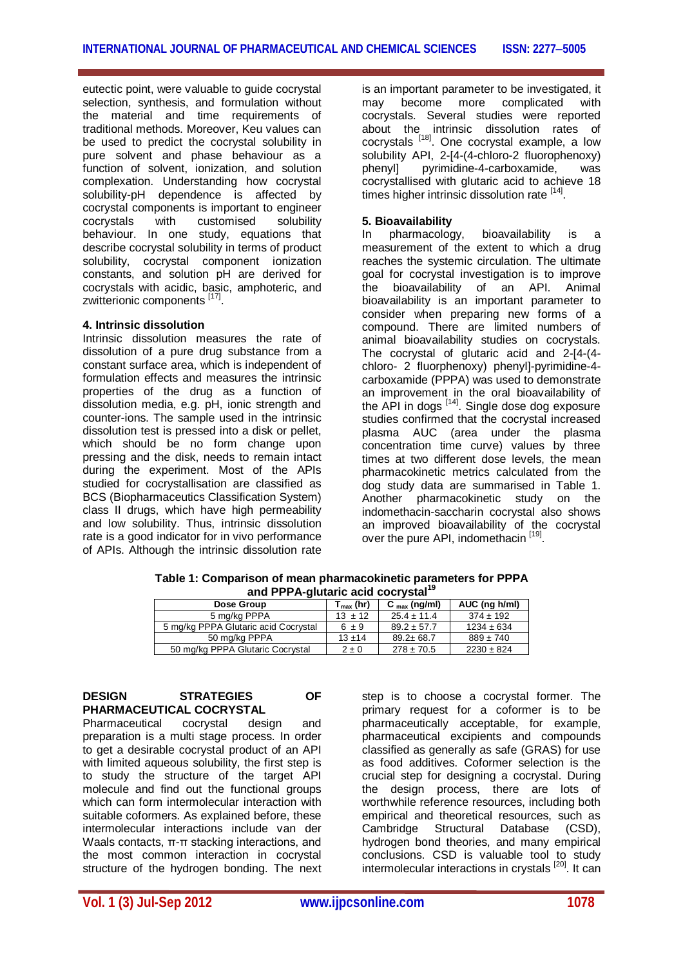eutectic point, were valuable to guide cocrystal selection, synthesis, and formulation without the material and time requirements of traditional methods. Moreover, Keu values can be used to predict the cocrystal solubility in pure solvent and phase behaviour as a function of solvent, ionization, and solution complexation. Understanding how cocrystal solubility-pH dependence is affected by cocrystal components is important to engineer<br>cocrystals with customised solubility cocrystals with customised solubility behaviour. In one study, equations that describe cocrystal solubility in terms of product solubility, cocrystal component ionization constants, and solution pH are derived for cocrystals with acidic, basic, amphoteric, and zwitterionic components [17].

#### **4. Intrinsic dissolution**

Intrinsic dissolution measures the rate of dissolution of a pure drug substance from a constant surface area, which is independent of formulation effects and measures the intrinsic properties of the drug as a function of dissolution media, e.g. pH, ionic strength and counter-ions. The sample used in the intrinsic dissolution test is pressed into a disk or pellet, which should be no form change upon pressing and the disk, needs to remain intact during the experiment. Most of the APIs studied for cocrystallisation are classified as BCS (Biopharmaceutics Classification System) class II drugs, which have high permeability and low solubility. Thus, intrinsic dissolution rate is a good indicator for in vivo performance of APIs. Although the intrinsic dissolution rate

is an important parameter to be investigated, it may become more complicated with cocrystals. Several studies were reported about the intrinsic dissolution rates of cocrystals <sup>[18]</sup>. One cocrystal example, a low solubility API, 2-[4-(4-chloro-2 fluorophenoxy)<br>phenvil pyrimidine-4-carboxamide. was pyrimidine-4-carboxamide, cocrystallised with glutaric acid to achieve 18 times higher intrinsic dissolution rate [14].

#### **5. Bioavailability**

In pharmacology, bioavailability is a measurement of the extent to which a drug reaches the systemic circulation. The ultimate goal for cocrystal investigation is to improve the bioavailability of an API. Animal bioavailability is an important parameter to consider when preparing new forms of a compound. There are limited numbers of animal bioavailability studies on cocrystals. The cocrystal of glutaric acid and 2-[4-(4 chloro- 2 fluorphenoxy) phenyl]-pyrimidine-4 carboxamide (PPPA) was used to demonstrate an improvement in the oral bioavailability of the API in dogs <sup>[14]</sup>. Single dose dog exposure studies confirmed that the cocrystal increased plasma AUC (area under the plasma concentration time curve) values by three times at two different dose levels, the mean pharmacokinetic metrics calculated from the dog study data are summarised in Table 1. Another pharmacokinetic study on the indomethacin-saccharin cocrystal also shows an improved bioavailability of the cocrystal over the pure API, indomethacin [19].

| ally FFFA-giularic acid coci ystal   |                       |                          |                |
|--------------------------------------|-----------------------|--------------------------|----------------|
| Dose Group                           | $T_{\text{max}}$ (hr) | $C_{\text{max}}$ (ng/ml) | AUC (ng h/ml)  |
| 5 mg/kg PPPA                         | $13 \pm 12$           | $25.4 \pm 11.4$          | $374 \pm 192$  |
| 5 mg/kg PPPA Glutaric acid Cocrystal | $6 \pm 9$             | $89.2 \pm 57.7$          | $1234 \pm 634$ |
| 50 mg/kg PPPA                        | $13 + 14$             | $89.2 \pm 68.7$          | $889 \pm 740$  |
| 50 mg/kg PPPA Glutaric Cocrystal     | $2 \pm 0$             | $278 \pm 70.5$           | $2230 \pm 824$ |

**Table 1: Comparison of mean pharmacokinetic parameters for PPPA and PPPA-glutaric acid cocrystal<sup>19</sup>**

## **DESIGN STRATEGIES OF PHARMACEUTICAL COCRYSTAL**

Pharmaceutical cocrystal design and preparation is a multi stage process. In order to get a desirable cocrystal product of an API with limited aqueous solubility, the first step is to study the structure of the target API molecule and find out the functional groups which can form intermolecular interaction with suitable coformers. As explained before, these intermolecular interactions include van der Waals contacts, π-π stacking interactions, and the most common interaction in cocrystal structure of the hydrogen bonding. The next

step is to choose a cocrystal former. The primary request for a coformer is to be pharmaceutically acceptable, for example, pharmaceutical excipients and compounds classified as generally as safe (GRAS) for use as food additives. Coformer selection is the crucial step for designing a cocrystal. During the design process, there are lots of worthwhile reference resources, including both empirical and theoretical resources, such as Cambridge Structural Database (CSD), hydrogen bond theories, and many empirical conclusions. CSD is valuable tool to study intermolecular interactions in crystals <sup>[20]</sup>. It can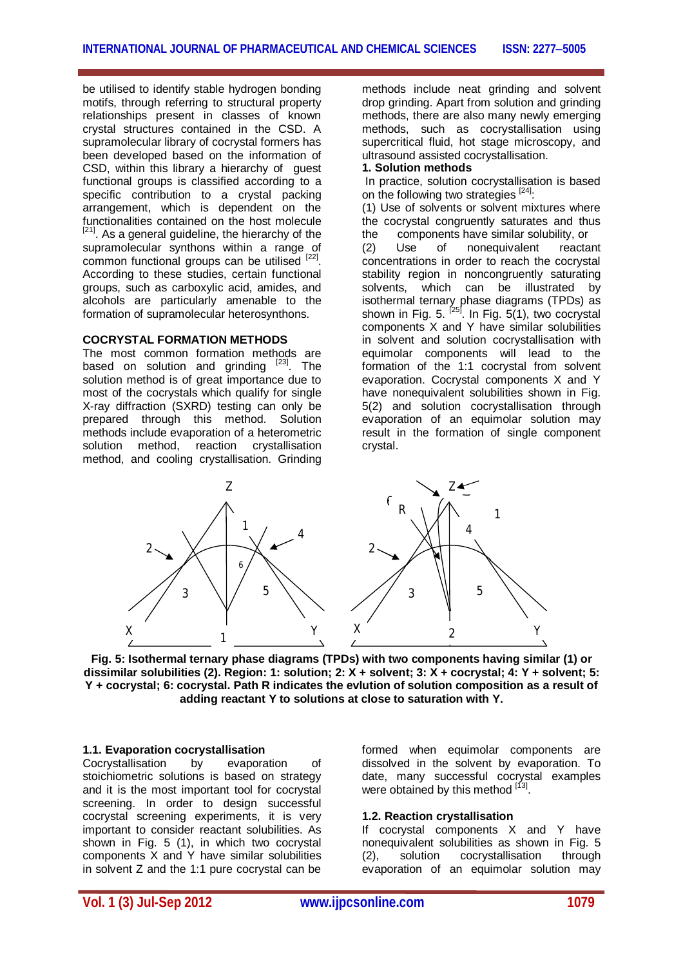be utilised to identify stable hydrogen bonding motifs, through referring to structural property relationships present in classes of known crystal structures contained in the CSD. A supramolecular library of cocrystal formers has been developed based on the information of CSD, within this library a hierarchy of guest functional groups is classified according to a specific contribution to a crystal packing arrangement, which is dependent on the functionalities contained on the host molecule <sup>[21]</sup>. As a general guideline, the hierarchy of the supramolecular synthons within a range of common functional groups can be utilised [22]. According to these studies, certain functional groups, such as carboxylic acid, amides, and alcohols are particularly amenable to the formation of supramolecular heterosynthons.

#### **COCRYSTAL FORMATION METHODS**

The most common formation methods are based on solution and grinding <sup>[23]</sup>. The solution method is of great importance due to most of the cocrystals which qualify for single X-ray diffraction (SXRD) testing can only be prepared through this method. Solution methods include evaporation of a heterometric<br>solution method, reaction crystallisation solution method, method, and cooling crystallisation. Grinding

methods include neat grinding and solvent drop grinding. Apart from solution and grinding methods, there are also many newly emerging methods, such as cocrystallisation using supercritical fluid, hot stage microscopy, and ultrasound assisted cocrystallisation.

#### **1. Solution methods**

In practice, solution cocrystallisation is based on the following two strategies [24].

(1) Use of solvents or solvent mixtures where the cocrystal congruently saturates and thus the components have similar solubility, or

(2) Use of nonequivalent reactant concentrations in order to reach the cocrystal stability region in noncongruently saturating<br>solvents, which can be illustrated by solvents, which can be isothermal ternary phase diagrams (TPDs) as shown in Fig. 5. <sup>[25]</sup>. In Fig. 5(1), two cocrystal components X and Y have similar solubilities in solvent and solution cocrystallisation with equimolar components will lead to the formation of the 1:1 cocrystal from solvent evaporation. Cocrystal components X and Y have nonequivalent solubilities shown in Fig. 5(2) and solution cocrystallisation through evaporation of an equimolar solution may result in the formation of single component crystal.



**Fig. 5: Isothermal ternary phase diagrams (TPDs) with two components having similar (1) or dissimilar solubilities (2). Region: 1: solution; 2: X + solvent; 3: X + cocrystal; 4: Y + solvent; 5: Y + cocrystal; 6: cocrystal. Path R indicates the evlution of solution composition as a result of adding reactant Y to solutions at close to saturation with Y.**

#### **1.1. Evaporation cocrystallisation**

Cocrystallisation by evaporation of stoichiometric solutions is based on strategy and it is the most important tool for cocrystal screening. In order to design successful cocrystal screening experiments, it is very important to consider reactant solubilities. As shown in Fig. 5 (1), in which two cocrystal components X and Y have similar solubilities in solvent Z and the 1:1 pure cocrystal can be

formed when equimolar components are dissolved in the solvent by evaporation. To date, many successful cocrystal examples were obtained by this method [13].

#### **1.2. Reaction crystallisation**

If cocrystal components X and Y have nonequivalent solubilities as shown in Fig. 5<br>(2). solution cocrystallisation through (2), solution cocrystallisation through evaporation of an equimolar solution may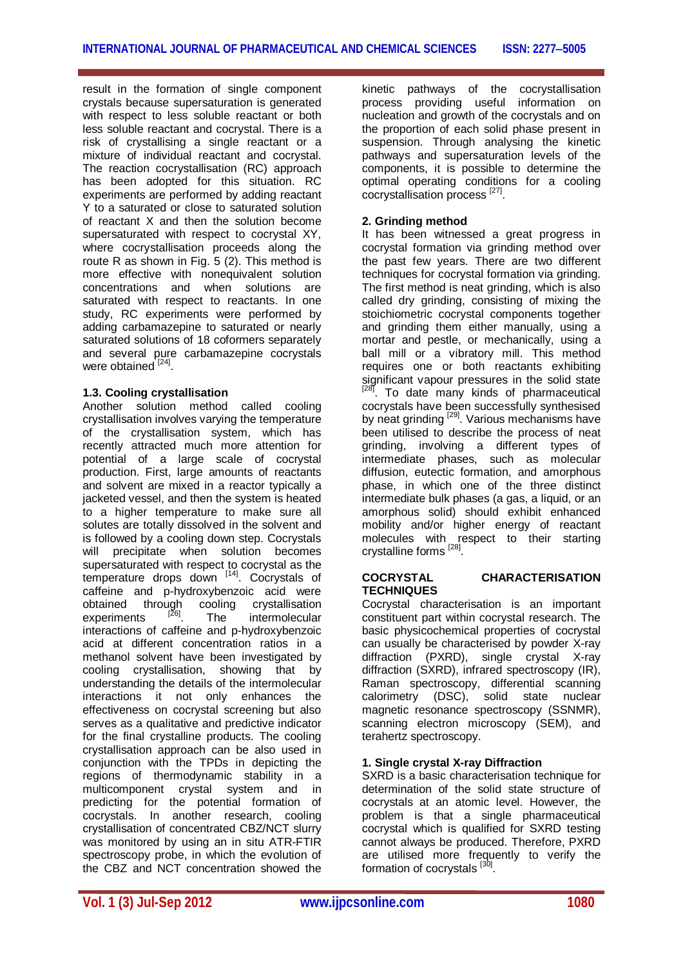result in the formation of single component crystals because supersaturation is generated with respect to less soluble reactant or both less soluble reactant and cocrystal. There is a risk of crystallising a single reactant or a mixture of individual reactant and cocrystal. The reaction cocrystallisation (RC) approach has been adopted for this situation. RC experiments are performed by adding reactant Y to a saturated or close to saturated solution of reactant X and then the solution become supersaturated with respect to cocrystal XY, where cocrystallisation proceeds along the route R as shown in Fig. 5 (2). This method is more effective with nonequivalent solution concentrations and when solutions are saturated with respect to reactants. In one study, RC experiments were performed by adding carbamazepine to saturated or nearly saturated solutions of 18 coformers separately and several pure carbamazepine cocrystals were obtained [24].

#### **1.3. Cooling crystallisation**

Another solution method called cooling crystallisation involves varying the temperature of the crystallisation system, which has recently attracted much more attention for potential of a large scale of cocrystal production. First, large amounts of reactants and solvent are mixed in a reactor typically a jacketed vessel, and then the system is heated to a higher temperature to make sure all solutes are totally dissolved in the solvent and is followed by a cooling down step. Cocrystals will precipitate when solution becomes supersaturated with respect to cocrystal as the temperature drops down [14]. Cocrystals of caffeine and p-hydroxybenzoic acid were obtained through cooling crystallisation experiments [26] . The intermolecular interactions of caffeine and p-hydroxybenzoic acid at different concentration ratios in a methanol solvent have been investigated by cooling crystallisation, showing that by understanding the details of the intermolecular interactions it not only enhances the effectiveness on cocrystal screening but also serves as a qualitative and predictive indicator for the final crystalline products. The cooling crystallisation approach can be also used in conjunction with the TPDs in depicting the regions of thermodynamic stability in a multicomponent crystal system and in predicting for the potential formation of cocrystals. In another research, cooling crystallisation of concentrated CBZ/NCT slurry was monitored by using an in situ ATR-FTIR spectroscopy probe, in which the evolution of the CBZ and NCT concentration showed the kinetic pathways of the cocrystallisation process providing useful information on nucleation and growth of the cocrystals and on the proportion of each solid phase present in suspension. Through analysing the kinetic pathways and supersaturation levels of the components, it is possible to determine the optimal operating conditions for a cooling cocrystallisation process [27].

## **2. Grinding method**

It has been witnessed a great progress in cocrystal formation via grinding method over the past few years. There are two different techniques for cocrystal formation via grinding. The first method is neat grinding, which is also called dry grinding, consisting of mixing the stoichiometric cocrystal components together and grinding them either manually, using a mortar and pestle, or mechanically, using a ball mill or a vibratory mill. This method requires one or both reactants exhibiting significant vapour pressures in the solid state<br><sup>[28]</sup> Te date many kinde of phermacquities <sup>1</sup>. To date many kinds of pharmaceutical cocrystals have been successfully synthesised by neat grinding <sup>[29]</sup>. Various mechanisms have been utilised to describe the process of neat grinding, involving a different types of intermediate phases, such as molecular diffusion, eutectic formation, and amorphous phase, in which one of the three distinct intermediate bulk phases (a gas, a liquid, or an amorphous solid) should exhibit enhanced mobility and/or higher energy of reactant molecules with respect to their starting crystalline forms <sup>[28]</sup>.

#### **COCRYSTAL CHARACTERISATION TECHNIQUES**

Cocrystal characterisation is an important constituent part within cocrystal research. The basic physicochemical properties of cocrystal can usually be characterised by powder X-rav diffraction (PXRD), single crystal X-ray diffraction (SXRD), infrared spectroscopy (IR), Raman spectroscopy, differential scanning calorimetry (DSC), solid state nuclear magnetic resonance spectroscopy (SSNMR), scanning electron microscopy (SEM), and terahertz spectroscopy.

## **1. Single crystal X-ray Diffraction**

SXRD is a basic characterisation technique for determination of the solid state structure of cocrystals at an atomic level. However, the problem is that a single pharmaceutical cocrystal which is qualified for SXRD testing cannot always be produced. Therefore, PXRD are utilised more frequently to verify the formation of cocrystals <sup>[30]</sup>.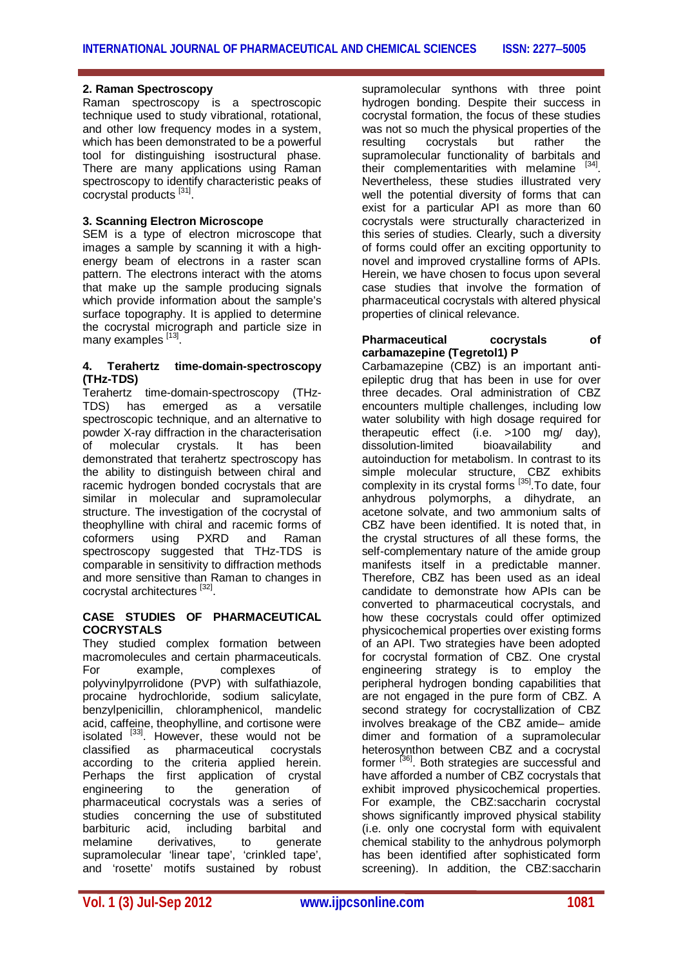#### **2. Raman Spectroscopy**

Raman spectroscopy is a spectroscopic technique used to study vibrational, rotational, and other low frequency modes in a system, which has been demonstrated to be a powerful tool for distinguishing isostructural phase. There are many applications using Raman spectroscopy to identify characteristic peaks of cocrystal products<sup>[31]</sup>.

#### **3. Scanning Electron Microscope**

SEM is a type of electron microscope that images a sample by scanning it with a highenergy beam of electrons in a raster scan pattern. The electrons interact with the atoms that make up the sample producing signals which provide information about the sample's surface topography. It is applied to determine the cocrystal micrograph and particle size in many examples [13].

#### **4. Terahertz time-domain-spectroscopy (THz-TDS)**

Terahertz time-domain-spectroscopy (THz-TDS) has emerged as a versatile spectroscopic technique, and an alternative to powder X-ray diffraction in the characterisation<br>of molecular crystals. It has been molecular crystals. It has been demonstrated that terahertz spectroscopy has the ability to distinguish between chiral and racemic hydrogen bonded cocrystals that are similar in molecular and supramolecular structure. The investigation of the cocrystal of theophylline with chiral and racemic forms of coformers using PXRD and Raman spectroscopy suggested that THz-TDS is comparable in sensitivity to diffraction methods and more sensitive than Raman to changes in cocrystal architectures <sup>[32]</sup>.

#### **CASE STUDIES OF PHARMACEUTICAL COCRYSTALS**

They studied complex formation between macromolecules and certain pharmaceuticals. For example, complexes of polyvinylpyrrolidone (PVP) with sulfathiazole, procaine hydrochloride, sodium salicylate, benzylpenicillin, chloramphenicol, mandelic acid, caffeine, theophylline, and cortisone were isolated <sup>[33]</sup>. However, these would not be classified as pharmaceutical cocrystals according to the criteria applied herein. Perhaps the first application of crystal engineering to the generation of pharmaceutical cocrystals was a series of studies concerning the use of substituted barbituric acid, including barbital and<br>melamine derivatives, to generate melamine derivatives, to generate supramolecular 'linear tape', 'crinkled tape', and 'rosette' motifs sustained by robust

supramolecular synthons with three point hydrogen bonding. Despite their success in cocrystal formation, the focus of these studies was not so much the physical properties of the resulting cocrystals but rather the supramolecular functionality of barbitals and their complementarities with melamine  $[34]$ Nevertheless, these studies illustrated very well the potential diversity of forms that can exist for a particular API as more than 60 cocrystals were structurally characterized in this series of studies. Clearly, such a diversity of forms could offer an exciting opportunity to novel and improved crystalline forms of APIs. Herein, we have chosen to focus upon several case studies that involve the formation of pharmaceutical cocrystals with altered physical properties of clinical relevance.

#### **Pharmaceutical cocrystals of carbamazepine (Tegretol1) P**

Carbamazepine (CBZ) is an important antiepileptic drug that has been in use for over three decades. Oral administration of CBZ encounters multiple challenges, including low water solubility with high dosage required for therapeutic effect (i.e. >100 mg/ day),<br>dissolution-limited bioavailability and dissolution-limited autoinduction for metabolism. In contrast to its simple molecular structure, CBZ exhibits complexity in its crystal forms <sup>[35]</sup>. To date, four anhydrous polymorphs, a dihydrate, an acetone solvate, and two ammonium salts of CBZ have been identified. It is noted that, in the crystal structures of all these forms, the self-complementary nature of the amide group manifests itself in a predictable manner. Therefore, CBZ has been used as an ideal candidate to demonstrate how APIs can be converted to pharmaceutical cocrystals, and how these cocrystals could offer optimized physicochemical properties over existing forms of an API. Two strategies have been adopted for cocrystal formation of CBZ. One crystal engineering strategy is to employ the peripheral hydrogen bonding capabilities that are not engaged in the pure form of CBZ. A second strategy for cocrystallization of CBZ involves breakage of the CBZ amide– amide dimer and formation of a supramolecular heterosynthon between CBZ and a cocrystal former <sup>[36]</sup>. Both strategies are successful and have afforded a number of CBZ cocrystals that exhibit improved physicochemical properties. For example, the CBZ:saccharin cocrystal shows significantly improved physical stability (i.e. only one cocrystal form with equivalent chemical stability to the anhydrous polymorph has been identified after sophisticated form screening). In addition, the CBZ:saccharin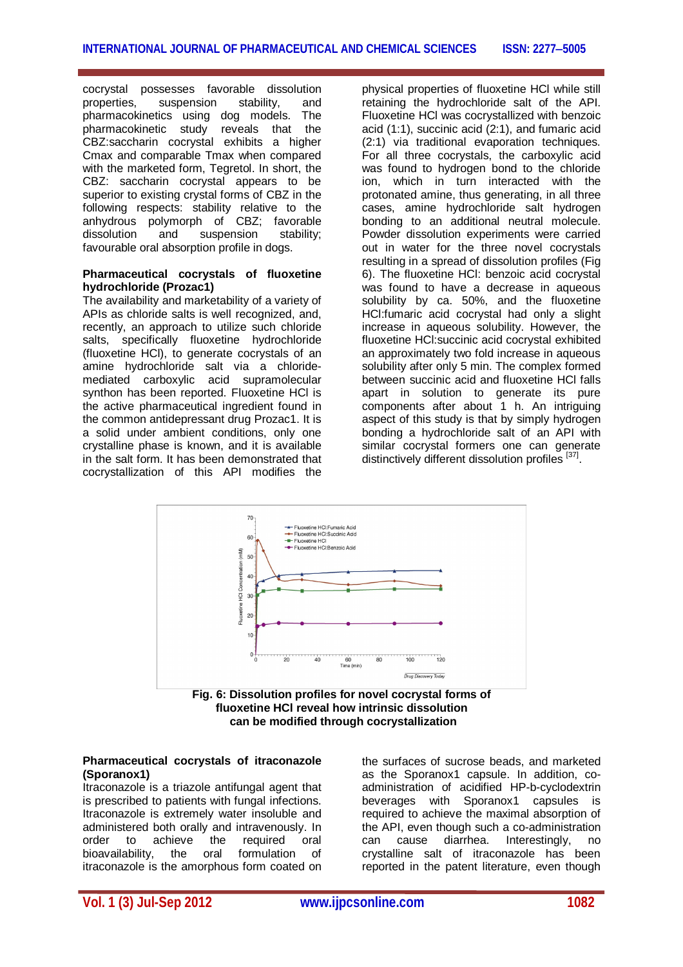cocrystal possesses favorable dissolution properties, suspension stability, and pharmacokinetics using dog models. The pharmacokinetic study reveals that the CBZ:saccharin cocrystal exhibits a higher Cmax and comparable Tmax when compared with the marketed form, Tegretol. In short, the CBZ: saccharin cocrystal appears to be superior to existing crystal forms of CBZ in the following respects: stability relative to the anhydrous polymorph of CBZ; favorable dissolution and suspension stability; favourable oral absorption profile in dogs.

#### **Pharmaceutical cocrystals of fluoxetine hydrochloride (Prozac1)**

The availability and marketability of a variety of APIs as chloride salts is well recognized, and, recently, an approach to utilize such chloride salts, specifically fluoxetine hydrochloride (fluoxetine HCl), to generate cocrystals of an amine hydrochloride salt via a chloridemediated carboxylic acid supramolecular synthon has been reported. Fluoxetine HCl is the active pharmaceutical ingredient found in the common antidepressant drug Prozac1. It is a solid under ambient conditions, only one crystalline phase is known, and it is available in the salt form. It has been demonstrated that cocrystallization of this API modifies the

physical properties of fluoxetine HCl while still retaining the hydrochloride salt of the API. Fluoxetine HCl was cocrystallized with benzoic acid (1:1), succinic acid (2:1), and fumaric acid (2:1) via traditional evaporation techniques. For all three cocrystals, the carboxylic acid was found to hydrogen bond to the chloride ion, which in turn interacted with the protonated amine, thus generating, in all three cases, amine hydrochloride salt hydrogen bonding to an additional neutral molecule. Powder dissolution experiments were carried out in water for the three novel cocrystals resulting in a spread of dissolution profiles (Fig 6). The fluoxetine HCl: benzoic acid cocrystal was found to have a decrease in aqueous solubility by ca. 50%, and the fluoxetine HCl:fumaric acid cocrystal had only a slight increase in aqueous solubility. However, the fluoxetine HCl:succinic acid cocrystal exhibited an approximately two fold increase in aqueous solubility after only 5 min. The complex formed between succinic acid and fluoxetine HCl falls apart in solution to generate its pure components after about 1 h. An intriguing aspect of this study is that by simply hydrogen bonding a hydrochloride salt of an API with similar cocrystal formers one can generate distinctively different dissolution profiles [37].



**fluoxetine HCl reveal how intrinsic dissolution can be modified through cocrystallization**

#### **Pharmaceutical cocrystals of itraconazole (Sporanox1)**

Itraconazole is a triazole antifungal agent that is prescribed to patients with fungal infections. Itraconazole is extremely water insoluble and administered both orally and intravenously. In order to achieve the required oral bioavailability, the oral formulation of itraconazole is the amorphous form coated on

the surfaces of sucrose beads, and marketed as the Sporanox1 capsule. In addition, coadministration of acidified HP-b-cyclodextrin beverages with Sporanox1 capsules is required to achieve the maximal absorption of the API, even though such a co-administration can cause diarrhea. Interestingly, no crystalline salt of itraconazole has been reported in the patent literature, even though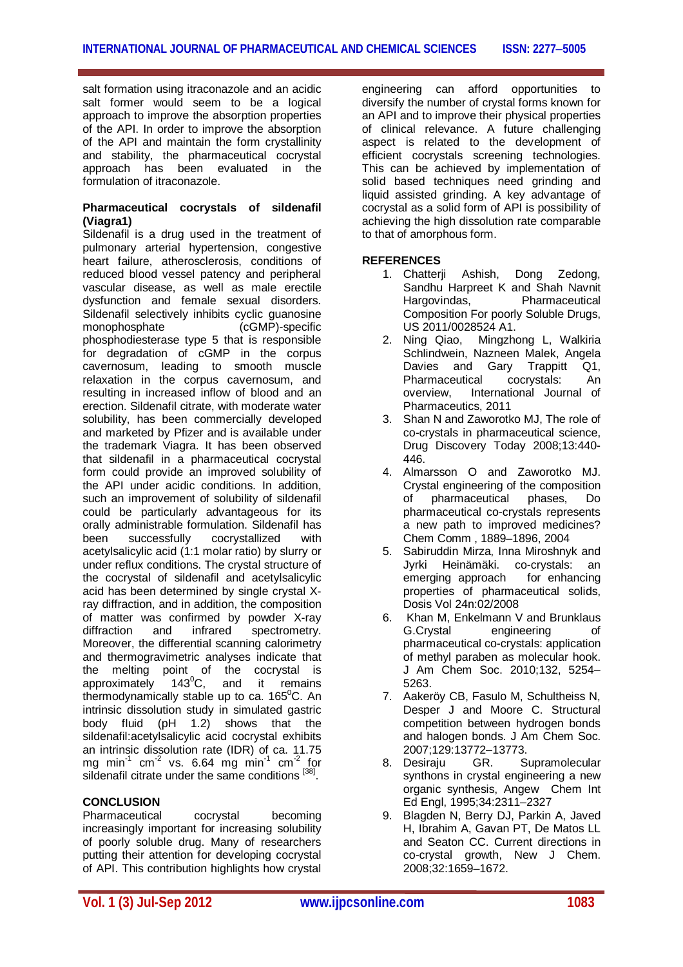salt formation using itraconazole and an acidic salt former would seem to be a logical approach to improve the absorption properties of the API. In order to improve the absorption of the API and maintain the form crystallinity and stability, the pharmaceutical cocrystal approach has been evaluated in the formulation of itraconazole.

#### **Pharmaceutical cocrystals of sildenafil (Viagra1)**

Sildenafil is a drug used in the treatment of pulmonary arterial hypertension, congestive heart failure, atherosclerosis, conditions of reduced blood vessel patency and peripheral vascular disease, as well as male erectile dysfunction and female sexual disorders. Sildenafil selectively inhibits cyclic guanosine<br>monophosphate (cGMP)-specific  $(cGMP)$ -specific phosphodiesterase type 5 that is responsible for degradation of cGMP in the corpus cavernosum, leading to smooth muscle relaxation in the corpus cavernosum, and resulting in increased inflow of blood and an erection. Sildenafil citrate, with moderate water solubility, has been commercially developed and marketed by Pfizer and is available under the trademark Viagra. It has been observed that sildenafil in a pharmaceutical cocrystal form could provide an improved solubility of the API under acidic conditions. In addition, such an improvement of solubility of sildenafil could be particularly advantageous for its orally administrable formulation. Sildenafil has been successfully cocrystallized with acetylsalicylic acid (1:1 molar ratio) by slurry or under reflux conditions. The crystal structure of the cocrystal of sildenafil and acetylsalicylic acid has been determined by single crystal Xray diffraction, and in addition, the composition of matter was confirmed by powder X-ray<br>diffraction and infrared spectrometrv. diffraction and infrared spectrometry. Moreover, the differential scanning calorimetry and thermogravimetric analyses indicate that the melting point of the cocrystal is approximately 143 $^{\circ}$ C, and it remains thermodynamically stable up to ca.  $165^{\circ}$ C. An intrinsic dissolution study in simulated gastric body fluid (pH 1.2) shows that the sildenafil:acetylsalicylic acid cocrystal exhibits an intrinsic dissolution rate (IDR) of ca. 11.75 mg min<sup>-1</sup> cm<sup>-2</sup> vs. 6.64 mg min<sup>-1</sup> cm<sup>-2</sup> for sildenafil citrate under the same conditions [38].

## **CONCLUSION**

Pharmaceutical cocrystal becoming increasingly important for increasing solubility of poorly soluble drug. Many of researchers putting their attention for developing cocrystal of API. This contribution highlights how crystal

engineering can afford opportunities to diversify the number of crystal forms known for an API and to improve their physical properties of clinical relevance. A future challenging aspect is related to the development of efficient cocrystals screening technologies. This can be achieved by implementation of solid based techniques need grinding and liquid assisted grinding. A key advantage of cocrystal as a solid form of API is possibility of achieving the high dissolution rate comparable to that of amorphous form.

## **REFERENCES**

- 1. Chatterji Ashish, Dong Zedong, Sandhu Harpreet K and Shah Navnit Hargovindas, Pharmaceutical Composition For poorly Soluble Drugs, US 2011/0028524 A1.
- 2. Ning Qiao, Mingzhong L, Walkiria Schlindwein, Nazneen Malek, Angela Davies and Gary Trappitt Q1, Pharmaceutical cocrystals: An overview, International Journal of Pharmaceutics, 2011
- 3. Shan N and Zaworotko MJ, The role of co-crystals in pharmaceutical science, Drug Discovery Today 2008;13:440- 446.
- 4. Almarsson O and Zaworotko MJ. Crystal engineering of the composition<br>of pharmaceutical phases. Do of pharmaceutical phases, Do pharmaceutical co-crystals represents a new path to improved medicines? Chem Comm , 1889–1896, 2004
- 5. Sabiruddin Mirza, Inna Miroshnyk and Jyrki Heinämäki. co-crystals: an emerging approach for enhancing properties of pharmaceutical solids, Dosis Vol 24n:02/2008
- 6. Khan M, Enkelmann V and Brunklaus G.Crystal engineering of pharmaceutical co-crystals: application of methyl paraben as molecular hook. J Am Chem Soc. 2010;132, 5254– 5263.
- 7. Aakeröy CB, Fasulo M, Schultheiss N, Desper J and Moore C. Structural competition between hydrogen bonds and halogen bonds. J Am Chem Soc. 2007;129:13772–13773.
- 8. Desiraju GR. Supramolecular synthons in crystal engineering a new organic synthesis, Angew Chem Int Ed Engl, 1995;34:2311–2327
- 9. Blagden N, Berry DJ, Parkin A, Javed H, Ibrahim A, Gavan PT, De Matos LL and Seaton CC. Current directions in co-crystal growth, New J Chem. 2008;32:1659–1672.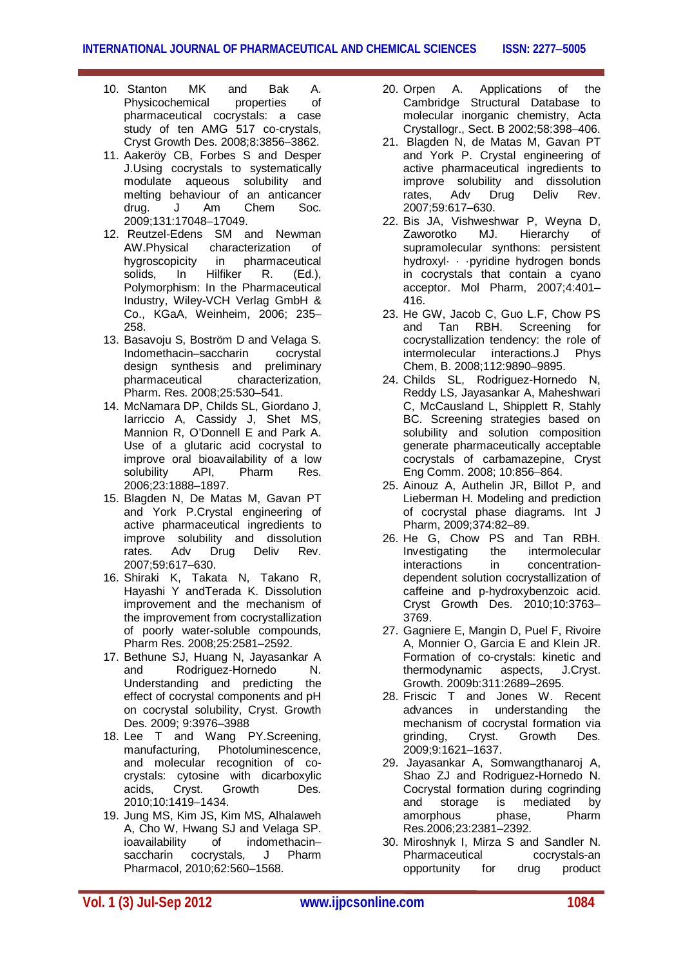- 10. Stanton MK and Bak A. Physicochemical properties of pharmaceutical cocrystals: a case study of ten AMG 517 co-crystals, Cryst Growth Des. 2008;8:3856–3862.
- 11. Aakeröy CB, Forbes S and Desper J.Using cocrystals to systematically modulate aqueous solubility and melting behaviour of an anticancer<br>drug. J. Am. Chem. Soc.  $drua.$  J  $Am$  Chem 2009;131:17048–17049.
- 12. Reutzel-Edens SM and Newman AW.Physical characterization of hygroscopicity in pharmaceutical solids, In Hilfiker R. (Ed.), Polymorphism: In the Pharmaceutical Industry, Wiley-VCH Verlag GmbH & Co., KGaA, Weinheim, 2006; 235– 258.
- 13. Basavoju S, Boström D and Velaga S. Indomethacin–saccharin cocrystal design synthesis and preliminary pharmaceutical characterization, Pharm. Res. 2008;25:530–541.
- 14. McNamara DP, Childs SL, Giordano J, Iarriccio A, Cassidy J, Shet MS, Mannion R, O'Donnell E and Park A. Use of a glutaric acid cocrystal to improve oral bioavailability of a low<br>solubility API, Pharm Res. solubility API, Pharm Res. 2006;23:1888–1897.
- 15. Blagden N, De Matas M, Gavan PT and York P.Crystal engineering of active pharmaceutical ingredients to improve solubility and dissolution rates. Adv Drug Deliv Rev. 2007;59:617–630.
- 16. Shiraki K, Takata N, Takano R, Hayashi Y andTerada K. Dissolution improvement and the mechanism of the improvement from cocrystallization of poorly water-soluble compounds, Pharm Res. 2008;25:2581–2592.
- 17. Bethune SJ, Huang N, Jayasankar A and Rodriguez-Hornedo N. Understanding and predicting the effect of cocrystal components and pH on cocrystal solubility, Cryst. Growth Des. 2009; 9:3976–3988
- 18. Lee T and Wang PY.Screening, manufacturing, Photoluminescence, and molecular recognition of cocrystals: cytosine with dicarboxylic acids, Cryst. Growth Des. 2010;10:1419–1434.
- 19. Jung MS, Kim JS, Kim MS, Alhalaweh A, Cho W, Hwang SJ and Velaga SP.<br>
ioavailability of indomethacinioavailability of indomethacin-<br>saccharin cocrystals. J Pharm cocrystals, J Pharm Pharmacol, 2010;62:560–1568.
- 20. Orpen A. Applications of the Cambridge Structural Database to molecular inorganic chemistry, Acta Crystallogr., Sect. B 2002;58:398–406.
- 21. Blagden N, de Matas M, Gavan PT and York P. Crystal engineering of active pharmaceutical ingredients to improve solubility and dissolution<br>rates, Adv Drug Deliv Rev. rates. Adv 2007;59:617–630.
- 22. Bis JA, Vishweshwar P, Weyna D, Zaworotko MJ. Hierarchy of supramolecular synthons: persistent hydroxyl· · ·pyridine hydrogen bonds in cocrystals that contain a cyano acceptor. Mol Pharm, 2007;4:401– 416.
- 23. He GW, Jacob C, Guo L.F, Chow PS<br>and Tan RBH. Screening for and Tan RBH. Screening for cocrystallization tendency: the role of intermolecular interactions.J Phys Chem, B. 2008;112:9890–9895.
- 24. Childs SL, Rodriguez-Hornedo N, Reddy LS, Jayasankar A, Maheshwari C, McCausland L, Shipplett R, Stahly BC. Screening strategies based on solubility and solution composition generate pharmaceutically acceptable cocrystals of carbamazepine, Cryst Eng Comm. 2008; 10:856–864.
- 25. Ainouz A, Authelin JR, Billot P, and Lieberman H. Modeling and prediction of cocrystal phase diagrams. Int J Pharm, 2009;374:82–89.
- 26. He G, Chow PS and Tan RBH. Investigating the intermolecular<br>
interactions in concentrationin concentrationdependent solution cocrystallization of caffeine and p-hydroxybenzoic acid. Cryst Growth Des. 2010;10:3763– 3769.
- 27. Gagniere E, Mangin D, Puel F, Rivoire A, Monnier O, Garcia E and Klein JR. Formation of co-crystals: kinetic and thermodynamic aspects, J.Cryst. Growth. 2009b:311:2689–2695.
- 28. Friscic T and Jones W. Recent advances in understanding the mechanism of cocrystal formation via grinding, Cryst. Growth Des. 2009;9:1621–1637.
- 29. Jayasankar A, Somwangthanaroj A, Shao ZJ and Rodriguez-Hornedo N. Cocrystal formation during cogrinding and storage is mediated by amorphous phase, Pharm Res.2006;23:2381–2392.
- 30. Miroshnyk I, Mirza S and Sandler N. Pharmaceutical cocrystals-an opportunity for drug product